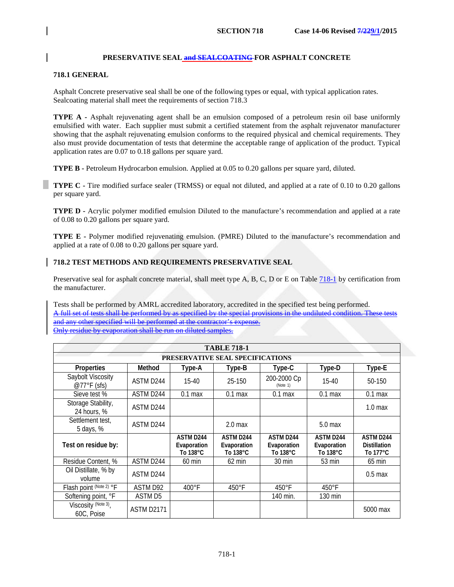# **PRESERVATIVE SEAL and SEALCOATING FOR ASPHALT CONCRETE**

# **718.1 GENERAL**

Asphalt Concrete preservative seal shall be one of the following types or equal, with typical application rates. Sealcoating material shall meet the requirements of section 718.3

**TYPE A -** Asphalt rejuvenating agent shall be an emulsion composed of a petroleum resin oil base uniformly emulsified with water. Each supplier must submit a certified statement from the asphalt rejuvenator manufacturer showing that the asphalt rejuvenating emulsion conforms to the required physical and chemical requirements. They also must provide documentation of tests that determine the acceptable range of application of the product. Typical application rates are 0.07 to 0.18 gallons per square yard.

**TYPE B -** Petroleum Hydrocarbon emulsion. Applied at 0.05 to 0.20 gallons per square yard, diluted.

**TYPE C -** Tire modified surface sealer (TRMSS) or equal not diluted, and applied at a rate of 0.10 to 0.20 gallons per square yard.

**TYPE D -** Acrylic polymer modified emulsion Diluted to the manufacture's recommendation and applied at a rate of 0.08 to 0.20 gallons per square yard.

**TYPE E -** Polymer modified rejuvenating emulsion. (PMRE) Diluted to the manufacture's recommendation and applied at a rate of 0.08 to 0.20 gallons per square yard.

# **718.2 TEST METHODS AND REQUIREMENTS PRESERVATIVE SEAL**

Preservative seal for asphalt concrete material, shall meet type A, B, C, D or E on Tabl[e 718-1](#page-0-0) by certification from the manufacturer.

Tests shall be performed by AMRL accredited laboratory, accredited in the specified test being performed. A full set of tests shall be performed by as specified by the special provisions in the undiluted condition. The and any other specified will be performed at the contractor's expense. Only residue by evaporation shall be run on diluted samples.

<span id="page-0-0"></span>

| <b>TABLE 718-1</b>                |            |                                                       |                                             |                                             |                                      |                                                      |  |
|-----------------------------------|------------|-------------------------------------------------------|---------------------------------------------|---------------------------------------------|--------------------------------------|------------------------------------------------------|--|
| PRESERVATIVE SEAL SPECIFICATIONS  |            |                                                       |                                             |                                             |                                      |                                                      |  |
| Properties                        | Method     | Type-A                                                | Type-B                                      | Type-C                                      | Type-D                               | Type-E                                               |  |
| Saybolt Viscosity<br>@77°F (sfs)  | ASTM D244  | $15-40$                                               | 25-150                                      | 200-2000 Cp<br>(Note 1)                     | $15 - 40$                            | 50-150                                               |  |
| Sieve test %                      | ASTM D244  | $0.1$ max                                             | $0.1$ max                                   | $0.1$ max                                   | $0.1$ max                            | $0.1$ max                                            |  |
| Storage Stability,<br>24 hours, % | ASTM D244  |                                                       |                                             |                                             |                                      | 1.0 <sub>max</sub>                                   |  |
| Settlement test,<br>5 days, %     | ASTM D244  |                                                       | 2.0 <sub>max</sub>                          |                                             | $5.0$ max                            |                                                      |  |
| Test on residue by:               |            | <b>ASTM D244</b><br>Evaporation<br>To $138^{\circ}$ C | <b>ASTM D244</b><br>Evaporation<br>To 138°C | <b>ASTM D244</b><br>Evaporation<br>To 138°C | ASTM D244<br>Evaporation<br>To 138°C | ASTM D244<br><b>Distillation</b><br>To $177^\circ$ C |  |
| Residue Content, %                | ASTM D244  | $60$ min                                              | $62 \text{ min}$                            | $30 \text{ min}$                            | 53 min                               | $65 \text{ min}$                                     |  |
| Oil Distillate, % by<br>volume    | ASTM D244  |                                                       |                                             |                                             |                                      | $0.5$ max                                            |  |
| Flash point (Note 2) °F           | ASTM D92   | $400^{\circ}$ F                                       | $450^{\circ}$ F                             | $450^{\circ}$ F                             | $450^{\circ}$ F                      |                                                      |  |
| Softening point, °F               | ASTM D5    |                                                       |                                             | 140 min.                                    | $130$ min                            |                                                      |  |
| Viscosity (Note 3)<br>60C, Poise  | ASTM D2171 |                                                       |                                             |                                             |                                      | 5000 max                                             |  |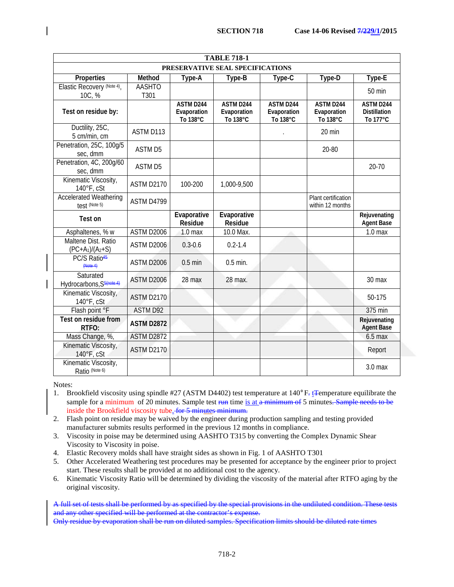| <b>TABLE 718-1</b>                                |                       |                                      |                                      |                                      |                                         |                                              |
|---------------------------------------------------|-----------------------|--------------------------------------|--------------------------------------|--------------------------------------|-----------------------------------------|----------------------------------------------|
| PRESERVATIVE SEAL SPECIFICATIONS                  |                       |                                      |                                      |                                      |                                         |                                              |
| Properties                                        | Method                | Type-A                               | Type-B                               | Type-C                               | Type-D                                  | Type-E                                       |
| Elastic Recovery (Note 4)<br>10C, %               | <b>AASHTO</b><br>T301 |                                      |                                      |                                      |                                         | 50 min                                       |
| Test on residue by:                               |                       | ASTM D244<br>Evaporation<br>To 138°C | ASTM D244<br>Evaporation<br>To 138°C | ASTM D244<br>Evaporation<br>To 138°C | ASTM D244<br>Evaporation<br>To 138°C    | ASTM D244<br><b>Distillation</b><br>To 177°C |
| Ductility, 25C,<br>5 cm/min, cm                   | ASTM D113             |                                      |                                      |                                      | 20 min                                  |                                              |
| Penetration, 25C, 100g/5<br>sec, dmm              | <b>ASTM D5</b>        |                                      |                                      |                                      | 20-80                                   |                                              |
| Penetration, 4C, 200g/60<br>sec, dmm              | <b>ASTM D5</b>        |                                      |                                      |                                      |                                         | $20 - 70$                                    |
| Kinematic Viscosity,<br>140°F, cSt                | <b>ASTM D2170</b>     | 100-200                              | 1,000-9,500                          |                                      |                                         |                                              |
| <b>Accelerated Weathering</b><br>test (Note 5)    | ASTM D4799            |                                      |                                      |                                      | Plant certification<br>within 12 months |                                              |
| Test on                                           |                       | Evaporative<br><b>Residue</b>        | Evaporative<br><b>Residue</b>        |                                      |                                         | Rejuvenating<br><b>Agent Base</b>            |
| Asphaltenes, % w                                  | ASTM D2006            | 1.0 <sub>max</sub>                   | 10.0 Max.                            |                                      |                                         | 1.0 <sub>max</sub>                           |
| Maltene Dist. Ratio<br>$(PC+A_1)/(A_2+S)$         | ASTM D2006            | $0.3 - 0.6$                          | $0.2 - 1.4$                          |                                      |                                         |                                              |
| PC/S Ratio <sup>45</sup><br>(Note4)               | ASTM D2006            | $0.5$ min                            | $0.5$ min.                           |                                      |                                         |                                              |
| Saturated<br>Hydrocarbons, S <sup>5(note 4)</sup> | ASTM D2006            | 28 max                               | 28 max.                              |                                      |                                         | 30 max                                       |
| Kinematic Viscosity,<br>140°F, cSt                | <b>ASTM D2170</b>     |                                      |                                      |                                      |                                         | 50-175                                       |
| Flash point °F                                    | <b>ASTM D92</b>       |                                      |                                      |                                      |                                         | 375 min                                      |
| Test on residue from<br>RTFO:                     | <b>ASTM D2872</b>     |                                      |                                      |                                      |                                         | Rejuvenating<br><b>Agent Base</b>            |
| Mass Change, %,                                   | <b>ASTM D2872</b>     |                                      |                                      |                                      |                                         | $6.5$ max                                    |
| Kinematic Viscosity,<br>140°F, cSt                | <b>ASTM D2170</b>     |                                      |                                      |                                      |                                         | Report                                       |
| Kinematic Viscosity,<br>Ratio (Note 6)            |                       |                                      |                                      |                                      |                                         | 3.0 <sub>max</sub>                           |

Notes:

- 1. Brookfield viscosity using spindle #27 (ASTM D4402) test temperature at  $140^{\circ}$ F<sub>r</sub> t<del>T</del>emperature equilibrate the sample for a minimum of 20 minutes. Sample test run time is at a minimum of 5 minutes. Sample needs to be inside the Brookfield viscosity tube. for 5 minutes minimum.
- 2. Flash point on residue may be waived by the engineer during production sampling and testing provided manufacturer submits results performed in the previous 12 months in compliance.
- 3. Viscosity in poise may be determined using AASHTO T315 by converting the Complex Dynamic Shear Viscosity to Viscosity in poise.
- 4. Elastic Recovery molds shall have straight sides as shown in Fig. 1 of AASHTO T301
- 5. Other Accelerated Weathering test procedures may be presented for acceptance by the engineer prior to project start. These results shall be provided at no additional cost to the agency.
- 6. Kinematic Viscosity Ratio will be determined by dividing the viscosity of the material after RTFO aging by the original viscosity.

A full set of tests shall be performed by as specified by the special provisions in the undiluted condition. These tests and any other specified will be performed at the contractor's expense.

Only residue by evaporation shall be run on diluted samples. Specification limits should be diluted rate times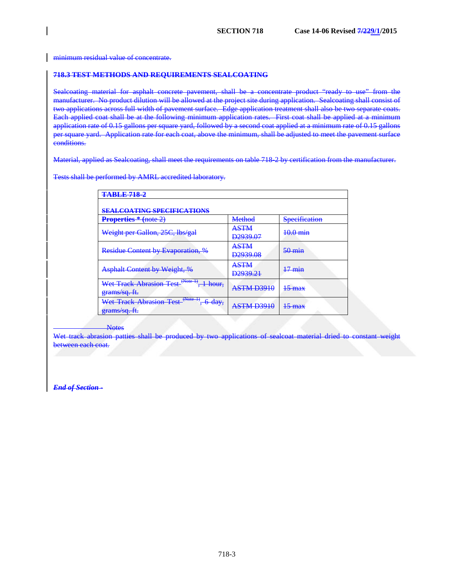minimum residual value of concentrate.

#### **718.3 TEST METHODS AND REQUIREMENTS SEALCOATING**

Sealcoating material for asphalt concrete pavement, shall be a concentrate product "ready to use" from the manufacturer. No product dilution will be allowed at the project site during application. Sealcoating shall consist of two applications across full width of pavement surface. Edge application treatment shall also be two separate coats. Each applied coat shall be at the following minimum application rates. First coat shall be applied at a minimum application rate of 0.15 gallons per square yard, followed by a second coat applied at a minimum rate of 0.15 gallons per square yard. Application rate for each coat, above the minimum, shall be adjusted to meet the pavement surface conditions.

Material, applied as Sealcoating, shall meet the requirements on table 718-2 by certification from the manufacturer.

Tests shall be performed by AMRL accredited laboratory.

| <b>TABLE 718-2</b>                                                                                       |                                                    |                      |  |  |  |  |  |
|----------------------------------------------------------------------------------------------------------|----------------------------------------------------|----------------------|--|--|--|--|--|
| <b>SEALCOATING SPECIFICATIONS</b>                                                                        |                                                    |                      |  |  |  |  |  |
| <b>Properties</b> * (note 2)                                                                             | Method                                             | <b>Specification</b> |  |  |  |  |  |
| Weight per Gallon, 25C, lbs/gal                                                                          | <b>ASTM</b><br>D <sub>2939.07</sub>                | <del>10.0 min</del>  |  |  |  |  |  |
| <b>Residue Content by Evaporation, %</b>                                                                 | <b>ASTM</b><br>D <sub>2939.08</sub>                | $50 \text{ min}$     |  |  |  |  |  |
| <b>Asphalt Content by Weight, %</b>                                                                      | <b>ASTM</b><br>D <sub>2939.21</sub>                | <del>17 min</del>    |  |  |  |  |  |
| Wet Track Abrasion Test <sup>(Note 1)</sup> .<br>$1 \text{ hour}$<br><del>1 110ul.</del><br>grams/sq.ft. | A STM D3010<br>710 EVED 3210                       | <del>15 тах</del>    |  |  |  |  |  |
| Wet Track Abrasion Test <sup>(Note 1)</sup> .<br>$A$ day<br><del>v uay,</del><br>grams/sq.ft.            | A STM D3010<br>, , , , , , , , , , , , , , , , , , | <del>15 max</del>    |  |  |  |  |  |

#### **Notes**

Wet track abrasion patties shall be produced by two applications of sealcoat material dried to constant weight between each coat.

*End of Section* **-**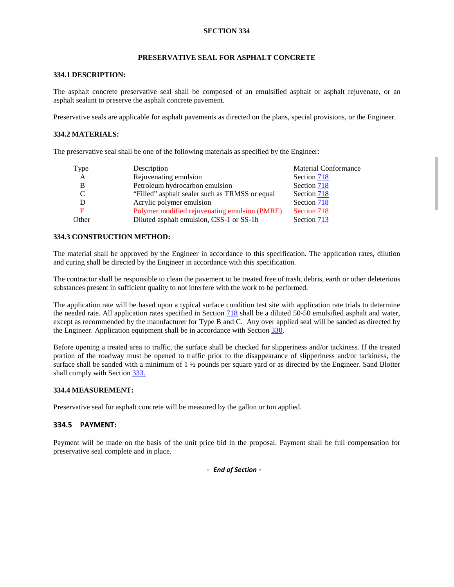# **SECTION 334**

# **PRESERVATIVE SEAL FOR ASPHALT CONCRETE**

#### **334.1 DESCRIPTION:**

The asphalt concrete preservative seal shall be composed of an emulsified asphalt or asphalt rejuvenate, or an asphalt sealant to preserve the asphalt concrete pavement.

Preservative seals are applicable for asphalt pavements as directed on the plans, special provisions, or the Engineer.

## **334.2 MATERIALS:**

The preservative seal shall be one of the following materials as specified by the Engineer:

| <b>Type</b>    | Description                                    | <b>Material Conformance</b> |
|----------------|------------------------------------------------|-----------------------------|
| $\overline{A}$ | Rejuvenating emulsion                          | Section 718                 |
| В              | Petroleum hydrocarbon emulsion                 | Section 718                 |
| C              | "Filled" asphalt sealer such as TRMSS or equal | Section 718                 |
|                | Acrylic polymer emulsion                       | Section 718                 |
| Е              | Polymer modified rejuvenating emulsion (PMRE)  | Section 718                 |
| Other          | Diluted asphalt emulsion, CSS-1 or SS-1h       | Section 713                 |

## **334.3 CONSTRUCTION METHOD:**

The material shall be approved by the Engineer in accordance to this specification. The application rates, dilution and curing shall be directed by the Engineer in accordance with this specification.

The contractor shall be responsible to clean the pavement to be treated free of trash, debris, earth or other deleterious substances present in sufficient quality to not interfere with the work to be performed.

The application rate will be based upon a typical surface condition test site with application rate trials to determine the needed rate. All application rates specified in Section 718 shall be a diluted 50-50 emulsified asphalt and water, except as recommended by the manufacturer for Type B and C. Any over applied seal will be sanded as directed by the Engineer. Application equipment shall be in accordance with Section 330.

Before opening a treated area to traffic, the surface shall be checked for slipperiness and/or tackiness. If the treated portion of the roadway must be opened to traffic prior to the disappearance of slipperiness and/or tackiness, the surface shall be sanded with a minimum of  $1 \frac{1}{2}$  pounds per square yard or as directed by the Engineer. Sand Blotter shall comply with Section 333.

#### **334.4 MEASUREMENT:**

Preservative seal for asphalt concrete will be measured by the gallon or ton applied.

# **334.5 PAYMENT:**

Payment will be made on the basis of the unit price bid in the proposal. Payment shall be full compensation for preservative seal complete and in place.

**-** *End of Section -*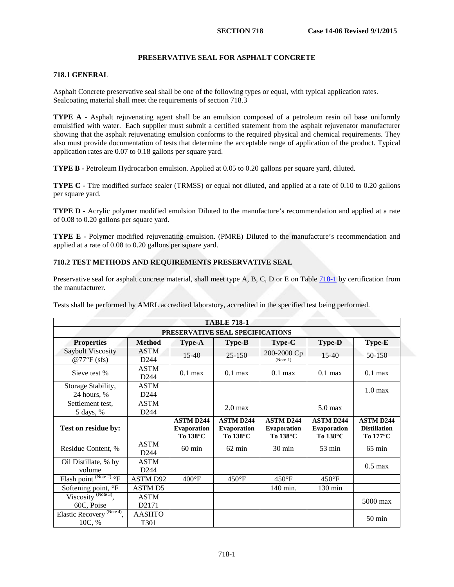# **PRESERVATIVE SEAL FOR ASPHALT CONCRETE**

#### **718.1 GENERAL**

Asphalt Concrete preservative seal shall be one of the following types or equal, with typical application rates. Sealcoating material shall meet the requirements of section 718.3

**TYPE A -** Asphalt rejuvenating agent shall be an emulsion composed of a petroleum resin oil base uniformly emulsified with water. Each supplier must submit a certified statement from the asphalt rejuvenator manufacturer showing that the asphalt rejuvenating emulsion conforms to the required physical and chemical requirements. They also must provide documentation of tests that determine the acceptable range of application of the product. Typical application rates are 0.07 to 0.18 gallons per square yard.

**TYPE B -** Petroleum Hydrocarbon emulsion. Applied at 0.05 to 0.20 gallons per square yard, diluted.

**TYPE C -** Tire modified surface sealer (TRMSS) or equal not diluted, and applied at a rate of 0.10 to 0.20 gallons per square yard.

**TYPE D -** Acrylic polymer modified emulsion Diluted to the manufacture's recommendation and applied at a rate of 0.08 to 0.20 gallons per square yard.

**TYPE E -** Polymer modified rejuvenating emulsion. (PMRE) Diluted to the manufacture's recommendation and applied at a rate of 0.08 to 0.20 gallons per square yard.

## **718.2 TEST METHODS AND REQUIREMENTS PRESERVATIVE SEAL**

Preservative seal for asphalt concrete material, shall meet type A, B, C, D or E on Tabl[e 718-1](#page-4-0) by certification from the manufacturer.

Tests shall be performed by AMRL accredited laboratory, accredited in the specified test being performed.

<span id="page-4-0"></span>

| <b>TABLE 718-1</b>                               |                                 |                                                    |                                                    |                                                    |                                                    |                                                     |
|--------------------------------------------------|---------------------------------|----------------------------------------------------|----------------------------------------------------|----------------------------------------------------|----------------------------------------------------|-----------------------------------------------------|
| PRESERVATIVE SEAL SPECIFICATIONS                 |                                 |                                                    |                                                    |                                                    |                                                    |                                                     |
| <b>Properties</b>                                | <b>Method</b>                   | <b>Type-A</b>                                      | <b>Type-B</b>                                      | $Type-C$                                           | <b>Type-D</b>                                      | <b>Type-E</b>                                       |
| Saybolt Viscosity<br>$@77^{\circ}F$ (sfs)        | <b>ASTM</b><br>D <sub>244</sub> | $15-40$                                            | $25 - 150$                                         | 200-2000 Cp<br>(Note 1)                            | $15-40$                                            | 50-150                                              |
| Sieve test %                                     | <b>ASTM</b><br>D <sub>244</sub> | $0.1$ max                                          | $0.1$ max                                          | $0.1$ max                                          | $0.1$ max                                          | $0.1$ max                                           |
| Storage Stability,<br>24 hours, %                | <b>ASTM</b><br>D <sub>244</sub> |                                                    |                                                    |                                                    |                                                    | 1.0 <sub>max</sub>                                  |
| Settlement test,<br>5 days, %                    | <b>ASTM</b><br>D <sub>244</sub> |                                                    | $2.0 \text{ max}$                                  |                                                    | $5.0$ max                                          |                                                     |
| Test on residue by:                              |                                 | <b>ASTM D244</b><br><b>Evaporation</b><br>To 138°C | <b>ASTM D244</b><br><b>Evaporation</b><br>To 138°C | <b>ASTM D244</b><br><b>Evaporation</b><br>To 138°C | <b>ASTM D244</b><br><b>Evaporation</b><br>To 138°C | <b>ASTM D244</b><br><b>Distillation</b><br>To 177°C |
| Residue Content, %                               | <b>ASTM</b><br>D <sub>244</sub> | $60 \text{ min}$                                   | $62 \text{ min}$                                   | 30 min                                             | $53 \text{ min}$                                   | $65 \text{ min}$                                    |
| Oil Distillate, % by<br>volume                   | <b>ASTM</b><br>D <sub>244</sub> |                                                    |                                                    |                                                    |                                                    | $0.5 \text{ max}$                                   |
| Flash point (Note 2) of                          | <b>ASTM D92</b>                 | $400^{\circ}$ F                                    | $450^{\circ}$ F                                    | $450^{\circ}$ F                                    | $450^{\circ}$ F                                    |                                                     |
| Softening point, °F                              | <b>ASTM D5</b>                  |                                                    |                                                    | 140 min.                                           | $130 \text{ min}$                                  |                                                     |
| Viscosity $^{(Note 3)}$ ,<br>60C, Poise          | <b>ASTM</b><br>D2171            |                                                    |                                                    |                                                    |                                                    | $5000$ max                                          |
| Elastic Recovery <sup>(Note 4)</sup> ,<br>10C, % | <b>AASHTO</b><br>T301           |                                                    |                                                    |                                                    |                                                    | $50 \text{ min}$                                    |